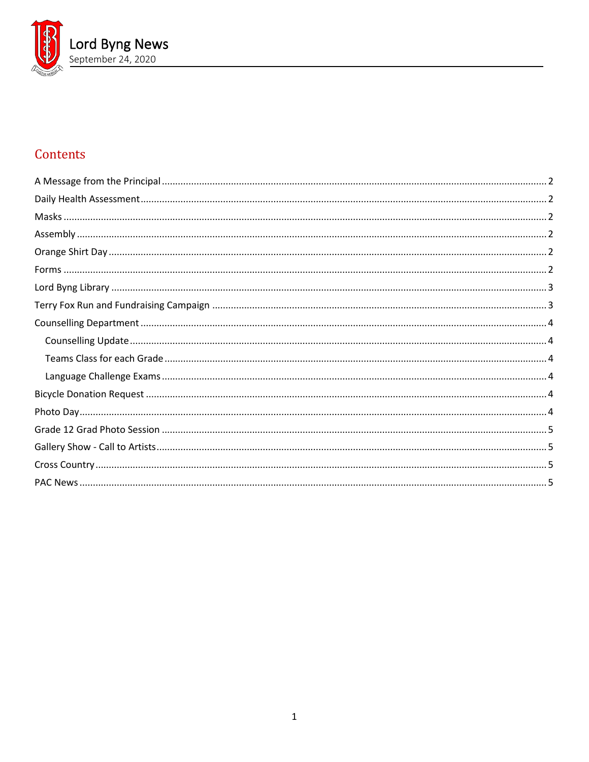

# Contents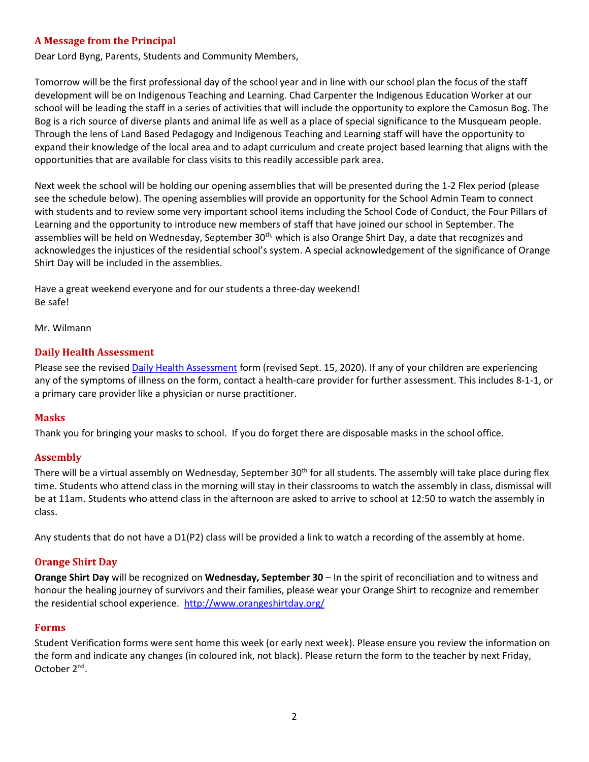## <span id="page-1-0"></span>**A Message from the Principal**

Dear Lord Byng, Parents, Students and Community Members,

Tomorrow will be the first professional day of the school year and in line with our school plan the focus of the staff development will be on Indigenous Teaching and Learning. Chad Carpenter the Indigenous Education Worker at our school will be leading the staff in a series of activities that will include the opportunity to explore the Camosun Bog. The Bog is a rich source of diverse plants and animal life as well as a place of special significance to the Musqueam people. Through the lens of Land Based Pedagogy and Indigenous Teaching and Learning staff will have the opportunity to expand their knowledge of the local area and to adapt curriculum and create project based learning that aligns with the opportunities that are available for class visits to this readily accessible park area.

Next week the school will be holding our opening assemblies that will be presented during the 1-2 Flex period (please see the schedule below). The opening assemblies will provide an opportunity for the School Admin Team to connect with students and to review some very important school items including the School Code of Conduct, the Four Pillars of Learning and the opportunity to introduce new members of staff that have joined our school in September. The assemblies will be held on Wednesday, September 30<sup>th,</sup> which is also Orange Shirt Day, a date that recognizes and acknowledges the injustices of the residential school's system. A special acknowledgement of the significance of Orange Shirt Day will be included in the assemblies.

Have a great weekend everyone and for our students a three-day weekend! Be safe!

<span id="page-1-1"></span>Mr. Wilmann

## **Daily Health Assessment**

Please see the revised [Daily Health Assessment](https://www.vsb.bc.ca/repository/SBAttachments/8e11130a-23bc-4157-9294-1c252018cc4d_DailyHealthAssessment-Student_Sept15003.pdf) form (revised Sept. 15, 2020). If any of your children are experiencing any of the symptoms of illness on the form, contact a health-care provider for further assessment. This includes 8-1-1, or a primary care provider like a physician or nurse practitioner.

## <span id="page-1-2"></span>**Masks**

<span id="page-1-3"></span>Thank you for bringing your masks to school. If you do forget there are disposable masks in the school office.

## **Assembly**

There will be a virtual assembly on Wednesday, September  $30<sup>th</sup>$  for all students. The assembly will take place during flex time. Students who attend class in the morning will stay in their classrooms to watch the assembly in class, dismissal will be at 11am. Students who attend class in the afternoon are asked to arrive to school at 12:50 to watch the assembly in class.

<span id="page-1-4"></span>Any students that do not have a D1(P2) class will be provided a link to watch a recording of the assembly at home.

## **Orange Shirt Day**

**Orange Shirt Day** will be recognized on **Wednesday, September 30** – In the spirit of reconciliation and to witness and honour the healing journey of survivors and their families, please wear your Orange Shirt to recognize and remember the residential school experience. <http://www.orangeshirtday.org/>

## <span id="page-1-5"></span>**Forms**

Student Verification forms were sent home this week (or early next week). Please ensure you review the information on the form and indicate any changes (in coloured ink, not black). Please return the form to the teacher by next Friday, October 2nd.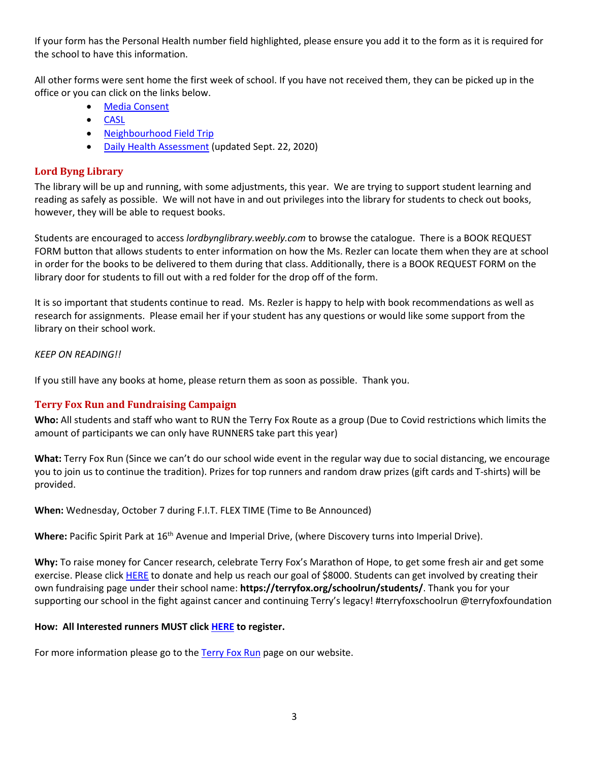If your form has the Personal Health number field highlighted, please ensure you add it to the form as it is required for the school to have this information.

All other forms were sent home the first week of school. If you have not received them, they can be picked up in the office or you can click on the links below.

- **[Media Consent](https://www.vsb.bc.ca/repository/SBAttachments/8e11130a-23bc-4157-9294-1c252018cc4d_VSBPersonalInformationandMediaConsentForm2020-21.pdf)**
- [CASL](https://www.vsb.bc.ca/repository/SBAttachments/8e11130a-23bc-4157-9294-1c252018cc4d_CASLVSBConsent2020-21.pdf)
- [Neighbourhood Field Trip](https://www.vsb.bc.ca/repository/SBAttachments/8e11130a-23bc-4157-9294-1c252018cc4d_NeighbourhoodFieldStudies-ParentGuardianConsentForm2020-21.pdf)
- [Daily Health Assessment](https://www.vsb.bc.ca/repository/SBAttachments/8e11130a-23bc-4157-9294-1c252018cc4d_DailyHealthAssessmentForm-Student_Sept22.pdf) (updated Sept. 22, 2020)

## <span id="page-2-0"></span>**Lord Byng Library**

The library will be up and running, with some adjustments, this year. We are trying to support student learning and reading as safely as possible. We will not have in and out privileges into the library for students to check out books, however, they will be able to request books.

Students are encouraged to access *lordbynglibrary.weebly.com* to browse the catalogue. There is a BOOK REQUEST FORM button that allows students to enter information on how the Ms. Rezler can locate them when they are at school in order for the books to be delivered to them during that class. Additionally, there is a BOOK REQUEST FORM on the library door for students to fill out with a red folder for the drop off of the form.

It is so important that students continue to read. Ms. Rezler is happy to help with book recommendations as well as research for assignments. Please email her if your student has any questions or would like some support from the library on their school work.

## *KEEP ON READING!!*

<span id="page-2-1"></span>If you still have any books at home, please return them as soon as possible. Thank you.

## **Terry Fox Run and Fundraising Campaign**

**Who:** All students and staff who want to RUN the Terry Fox Route as a group (Due to Covid restrictions which limits the amount of participants we can only have RUNNERS take part this year)

**What:** Terry Fox Run (Since we can't do our school wide event in the regular way due to social distancing, we encourage you to join us to continue the tradition). Prizes for top runners and random draw prizes (gift cards and T-shirts) will be provided.

**When:** Wednesday, October 7 during F.I.T. FLEX TIME (Time to Be Announced)

Where: Pacific Spirit Park at 16<sup>th</sup> Avenue and Imperial Drive, (where Discovery turns into Imperial Drive).

**Why:** To raise money for Cancer research, celebrate Terry Fox's Marathon of Hope, to get some fresh air and get some exercise. Please click [HERE](https://secure.terryfox.ca/registrant/TeamFundraisingPage.aspx?TeamID=915903) to donate and help us reach our goal of \$8000. Students can get involved by creating their own fundraising page under their school name: **https://terryfox.org/schoolrun/students/**. Thank you for your supporting our school in the fight against cancer and continuing Terry's legacy! #terryfoxschoolrun @terryfoxfoundation

## **How: All Interested runners MUST clic[k HERE](https://forms.office.com/Pages/ResponsePage.aspx?id=WC6KCzB7CEq6t9dVWeDjpcU6_SJBxJFAvnYu4EP3zdBUMFhPMEdMNDFPSzg1QTVYVjQ5QjVIV1MzRy4u) to register.**

For more information please go to the [Terry Fox Run](https://www.vsb.bc.ca/schools/lord-byng/About-Us/news/_layouts/15/ci/post.aspx?oaid=b91a2c78-23a4-437d-b6b4-ff6e8ca2ce76&oact=20001) page on our website.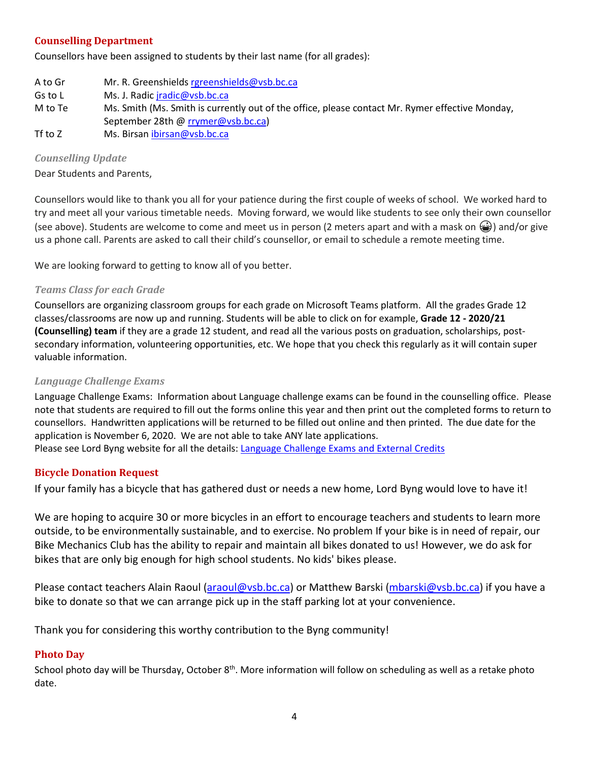## <span id="page-3-0"></span>**Counselling Department**

Counsellors have been assigned to students by their last name (for all grades):

A to Gr Mr. R. Greenshield[s rgreenshields@vsb.bc.ca](mailto:rgreenshields@vsb.bc.ca) Gs to L Ms. J. Radi[c jradic@vsb.bc.ca](mailto:jradic@vsb.bc.ca) M to Te Ms. Smith (Ms. Smith is currently out of the office, please contact Mr. Rymer effective Monday, September 28th @ [rrymer@vsb.bc.ca\)](mailto:rrymer@vsb.bc.ca) Tf to Z Ms. Birsan [ibirsan@vsb.bc.ca](mailto:ibirsan@vsb.bc.ca)

## <span id="page-3-1"></span>*Counselling Update*

Dear Students and Parents,

Counsellors would like to thank you all for your patience during the first couple of weeks of school. We worked hard to try and meet all your various timetable needs. Moving forward, we would like students to see only their own counsellor (see above). Students are welcome to come and meet us in person (2 meters apart and with a mask on  $\mathcal{Q}$ ) and/or give us a phone call. Parents are asked to call their child's counsellor, or email to schedule a remote meeting time.

<span id="page-3-2"></span>We are looking forward to getting to know all of you better.

## *Teams Class for each Grade*

Counsellors are organizing classroom groups for each grade on Microsoft Teams platform. All the grades Grade 12 classes/classrooms are now up and running. Students will be able to click on for example, **Grade 12 - 2020/21 (Counselling) team** if they are a grade 12 student, and read all the various posts on graduation, scholarships, postsecondary information, volunteering opportunities, etc. We hope that you check this regularly as it will contain super valuable information.

## <span id="page-3-3"></span>*Language Challenge Exams*

Language Challenge Exams: Information about Language challenge exams can be found in the counselling office. Please note that students are required to fill out the forms online this year and then print out the completed forms to return to counsellors. Handwritten applications will be returned to be filled out online and then printed. The due date for the application is November 6, 2020. We are not able to take ANY late applications. Please see Lord Byng website for all the details: [Language Challenge Exams and External Credits](https://www.vsb.bc.ca/schools/lord-byng/Teaching-and-Learning/Classes-and-Departments/Counselling/Pages/Language-Challenge-Exams-and-External-Credits.aspx?rf=830e511d-a1a4-4faf-99d0-28b1736820df)

## <span id="page-3-4"></span>**Bicycle Donation Request**

If your family has a bicycle that has gathered dust or needs a new home, Lord Byng would love to have it!

We are hoping to acquire 30 or more bicycles in an effort to encourage teachers and students to learn more outside, to be environmentally sustainable, and to exercise. No problem If your bike is in need of repair, our Bike Mechanics Club has the ability to repair and maintain all bikes donated to us! However, we do ask for bikes that are only big enough for high school students. No kids' bikes please.

Please contact teachers Alain Raoul [\(araoul@vsb.bc.ca\)](mailto:araoul@vsb.bc.ca) or Matthew Barski [\(mbarski@vsb.bc.ca\)](mailto:mbarski@vsb.bc.ca) if you have a bike to donate so that we can arrange pick up in the staff parking lot at your convenience.

<span id="page-3-5"></span>Thank you for considering this worthy contribution to the Byng community!

## **Photo Day**

School photo day will be Thursday, October  $8^{th}$ . More information will follow on scheduling as well as a retake photo date.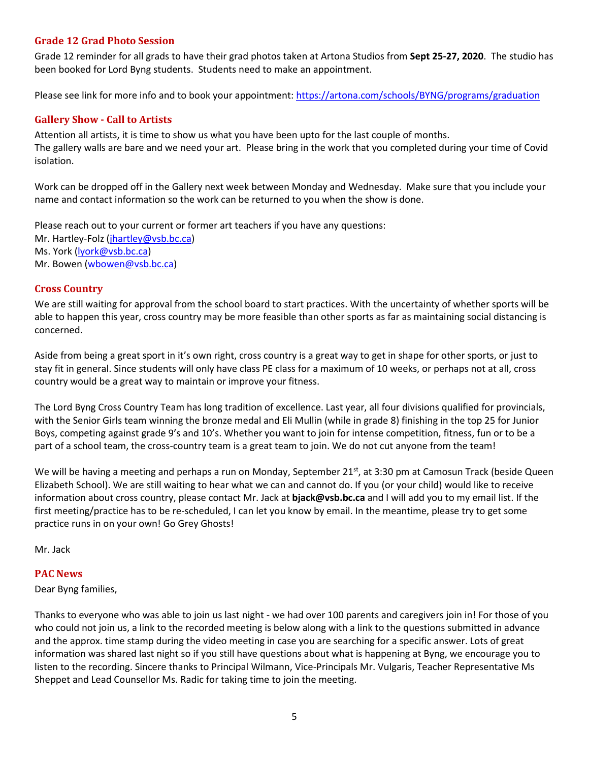## <span id="page-4-0"></span>**Grade 12 Grad Photo Session**

Grade 12 reminder for all grads to have their grad photos taken at Artona Studios from **Sept 25-27, 2020**. The studio has been booked for Lord Byng students. Students need to make an appointment.

<span id="page-4-1"></span>Please see link for more info and to book your appointment:<https://artona.com/schools/BYNG/programs/graduation>

## **Gallery Show - Call to Artists**

Attention all artists, it is time to show us what you have been upto for the last couple of months. The gallery walls are bare and we need your art. Please bring in the work that you completed during your time of Covid isolation.

Work can be dropped off in the Gallery next week between Monday and Wednesday. Make sure that you include your name and contact information so the work can be returned to you when the show is done.

Please reach out to your current or former art teachers if you have any questions: Mr. Hartley-Folz [\(jhartley@vsb.bc.ca\)](mailto:jhartley@vsb.bc.ca) Ms. York [\(lyork@vsb.bc.ca\)](mailto:lyork@vsb.bc.ca) Mr. Bowen [\(wbowen@vsb.bc.ca\)](mailto:wbowen@vsb.bc.ca)

## <span id="page-4-2"></span>**Cross Country**

We are still waiting for approval from the school board to start practices. With the uncertainty of whether sports will be able to happen this year, cross country may be more feasible than other sports as far as maintaining social distancing is concerned.

Aside from being a great sport in it's own right, cross country is a great way to get in shape for other sports, or just to stay fit in general. Since students will only have class PE class for a maximum of 10 weeks, or perhaps not at all, cross country would be a great way to maintain or improve your fitness.

The Lord Byng Cross Country Team has long tradition of excellence. Last year, all four divisions qualified for provincials, with the Senior Girls team winning the bronze medal and Eli Mullin (while in grade 8) finishing in the top 25 for Junior Boys, competing against grade 9's and 10's. Whether you want to join for intense competition, fitness, fun or to be a part of a school team, the cross-country team is a great team to join. We do not cut anyone from the team!

We will be having a meeting and perhaps a run on Monday, September 21<sup>st</sup>, at 3:30 pm at Camosun Track (beside Queen Elizabeth School). We are still waiting to hear what we can and cannot do. If you (or your child) would like to receive information about cross country, please contact Mr. Jack at **bjack@vsb.bc.ca** and I will add you to my email list. If the first meeting/practice has to be re-scheduled, I can let you know by email. In the meantime, please try to get some practice runs in on your own! Go Grey Ghosts!

<span id="page-4-3"></span>Mr. Jack

## **PAC News**

Dear Byng families,

Thanks to everyone who was able to join us last night - we had over 100 parents and caregivers join in! For those of you who could not join us, a link to the recorded meeting is below along with a link to the questions submitted in advance and the approx. time stamp during the video meeting in case you are searching for a specific answer. Lots of great information was shared last night so if you still have questions about what is happening at Byng, we encourage you to listen to the recording. Sincere thanks to Principal Wilmann, Vice-Principals Mr. Vulgaris, Teacher Representative Ms Sheppet and Lead Counsellor Ms. Radic for taking time to join the meeting.